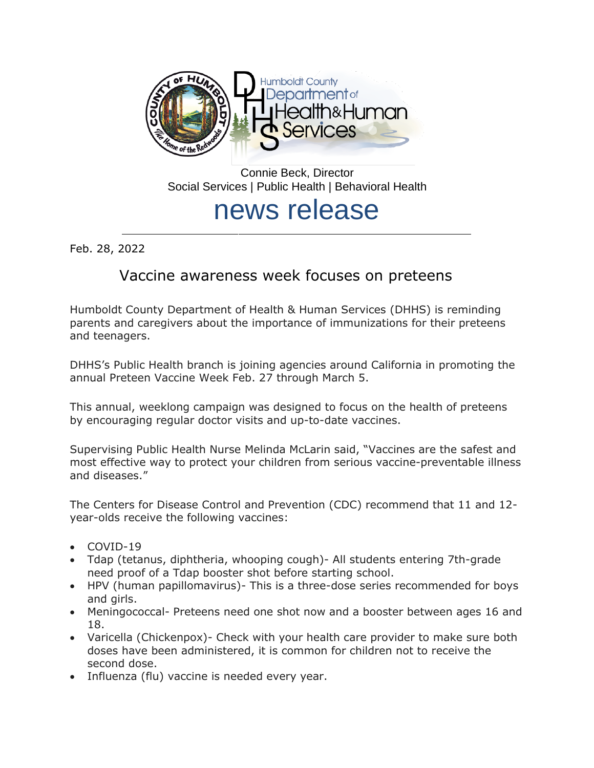

Connie Beck, Director Social Services | Public Health | Behavioral Health

## news release

Feb. 28, 2022

## Vaccine awareness week focuses on preteens

Humboldt County Department of Health & Human Services (DHHS) is reminding parents and caregivers about the importance of immunizations for their preteens and teenagers.

DHHS's Public Health branch is joining agencies around California in promoting the annual Preteen Vaccine Week Feb. 27 through March 5.

This annual, weeklong campaign was designed to focus on the health of preteens by encouraging regular doctor visits and up-to-date vaccines.

Supervising Public Health Nurse Melinda McLarin said, "Vaccines are the safest and most effective way to protect your children from serious vaccine-preventable illness and diseases."

The Centers for Disease Control and Prevention (CDC) recommend that 11 and 12 year-olds receive the following vaccines:

- COVID-19
- Tdap (tetanus, diphtheria, whooping cough)- All students entering 7th-grade need proof of a Tdap booster shot before starting school.
- HPV (human papillomavirus)- This is a three-dose series recommended for boys and girls.
- Meningococcal- Preteens need one shot now and a booster between ages 16 and 18.
- Varicella (Chickenpox)- Check with your health care provider to make sure both doses have been administered, it is common for children not to receive the second dose.
- Influenza (flu) vaccine is needed every year.